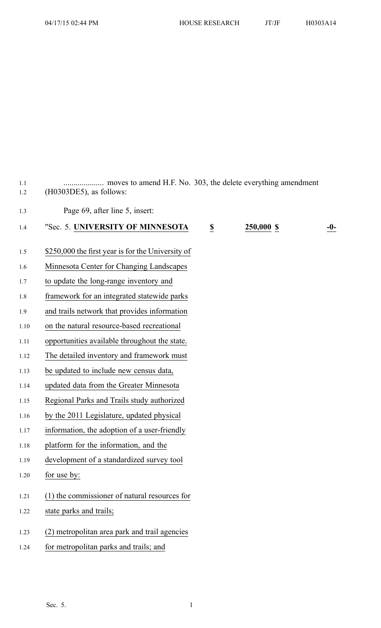| 1.1<br>1.2 | moves to amend H.F. No. 303, the delete everything amendment<br>$(H0303DE5)$ , as follows: |  |
|------------|--------------------------------------------------------------------------------------------|--|
| 1.3        | Page 69, after line 5, insert:                                                             |  |
| 1.4        | "Sec. 5. UNIVERSITY OF MINNESOTA<br>250,000 \$<br>$\overline{\mathbf{z}}$<br>$-0-$         |  |
| 1.5        | \$250,000 the first year is for the University of                                          |  |
| 1.6        | Minnesota Center for Changing Landscapes                                                   |  |
| 1.7        | to update the long-range inventory and                                                     |  |
| 1.8        | framework for an integrated statewide parks                                                |  |
| 1.9        | and trails network that provides information                                               |  |
| 1.10       | on the natural resource-based recreational                                                 |  |
| 1.11       | opportunities available throughout the state.                                              |  |
| 1.12       | The detailed inventory and framework must                                                  |  |
| 1.13       | be updated to include new census data,                                                     |  |
| 1.14       | updated data from the Greater Minnesota                                                    |  |
| 1.15       | Regional Parks and Trails study authorized                                                 |  |
| 1.16       | by the 2011 Legislature, updated physical                                                  |  |
| 1.17       | information, the adoption of a user-friendly                                               |  |
| 1.18       | platform for the information, and the                                                      |  |
| 1.19       | development of a standardized survey tool                                                  |  |
| 1.20       | for use by:                                                                                |  |
| 1.21       | (1) the commissioner of natural resources for                                              |  |
| 1.22       | state parks and trails;                                                                    |  |
| 1.23       | (2) metropolitan area park and trail agencies                                              |  |
| 1.24       | for metropolitan parks and trails; and                                                     |  |